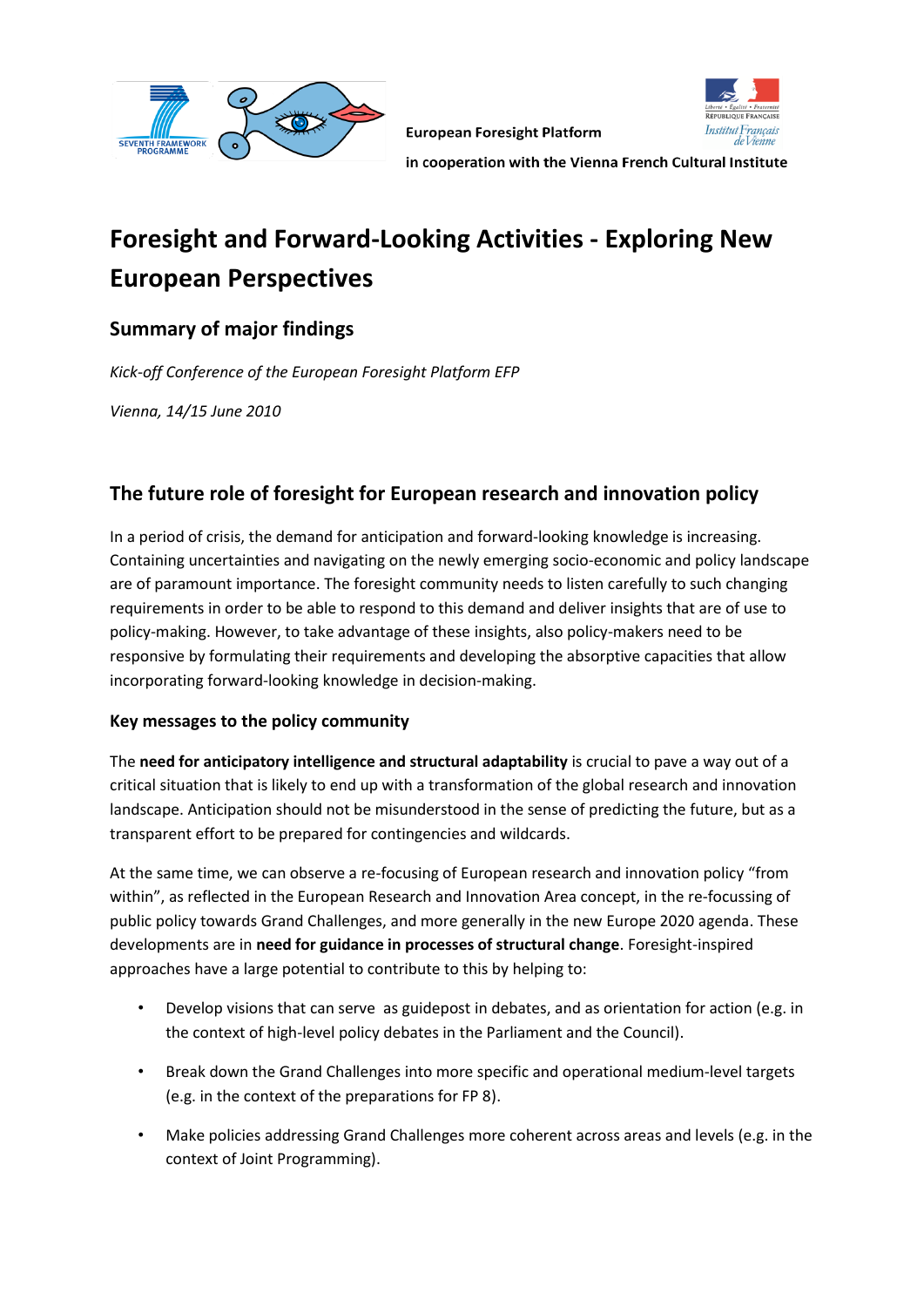

**European Foresight Platform** 



in cooperation with the Vienna French Cultural Institute

# **Foresight and Forward-Looking Activities - Exploring New European Perspectives**

## **Summary of major findings**

*Kick-off Conference of the European Foresight Platform EFP*

*Vienna, 14/15 June 2010*

### **The future role of foresight for European research and innovation policy**

In a period of crisis, the demand for anticipation and forward-looking knowledge is increasing. Containing uncertainties and navigating on the newly emerging socio-economic and policy landscape are of paramount importance. The foresight community needs to listen carefully to such changing requirements in order to be able to respond to this demand and deliver insights that are of use to policy-making. However, to take advantage of these insights, also policy-makers need to be responsive by formulating their requirements and developing the absorptive capacities that allow incorporating forward-looking knowledge in decision-making.

#### **Key messages to the policy community**

The **need for anticipatory intelligence and structural adaptability** is crucial to pave a way out of a critical situation that is likely to end up with a transformation of the global research and innovation landscape. Anticipation should not be misunderstood in the sense of predicting the future, but as a transparent effort to be prepared for contingencies and wildcards.

At the same time, we can observe a re-focusing of European research and innovation policy "from within", as reflected in the European Research and Innovation Area concept, in the re-focussing of public policy towards Grand Challenges, and more generally in the new Europe 2020 agenda. These developments are in **need for guidance in processes of structural change**. Foresight-inspired approaches have a large potential to contribute to this by helping to:

- Develop visions that can serve as guidepost in debates, and as orientation for action (e.g. in the context of high-level policy debates in the Parliament and the Council).
- Break down the Grand Challenges into more specific and operational medium-level targets (e.g. in the context of the preparations for FP 8).
- Make policies addressing Grand Challenges more coherent across areas and levels (e.g. in the context of Joint Programming).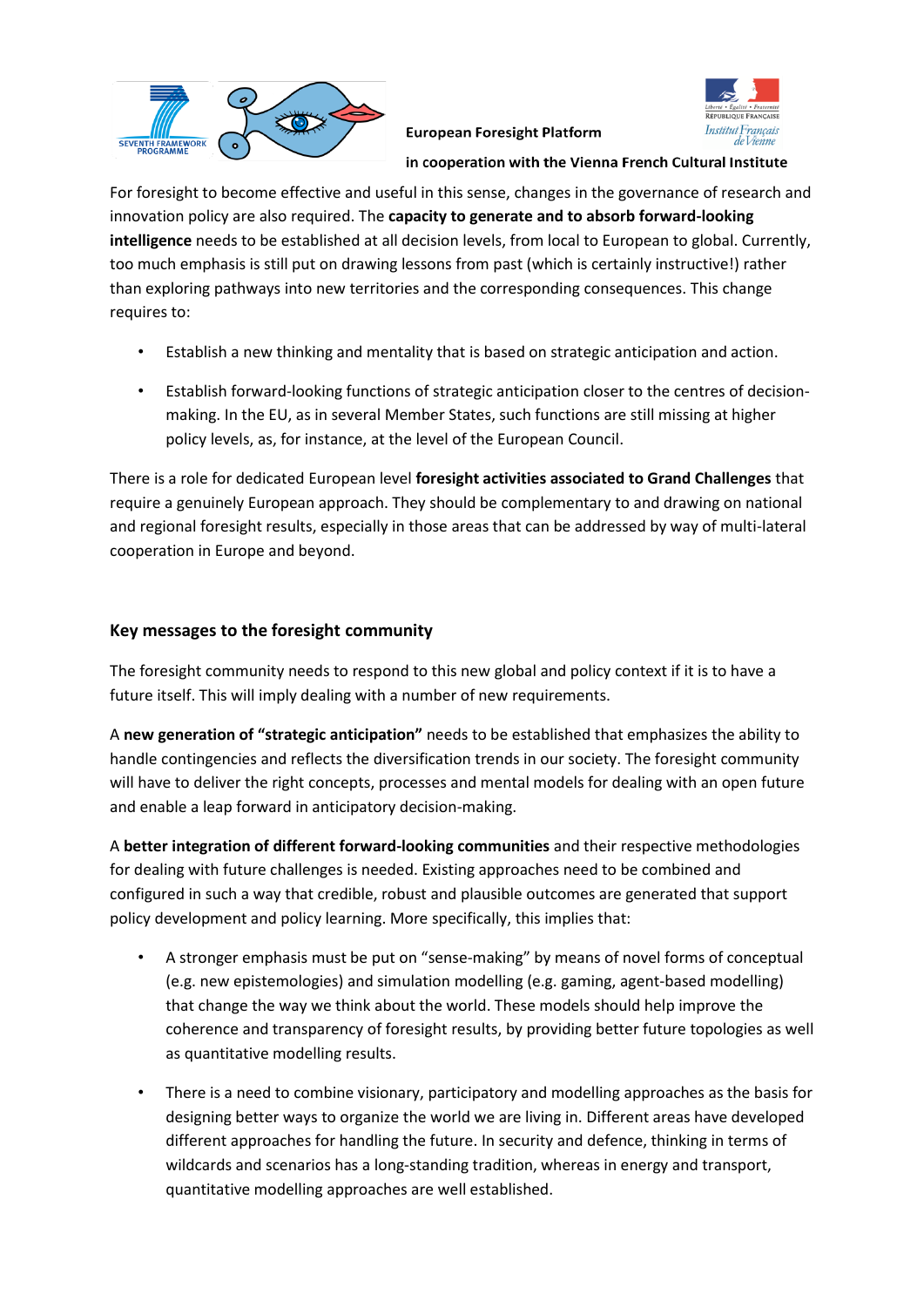

**European Foresight Platform** 



in cooperation with the Vienna French Cultural Institute

For foresight to become effective and useful in this sense, changes in the governance of research and innovation policy are also required. The **capacity to generate and to absorb forward-looking intelligence** needs to be established at all decision levels, from local to European to global. Currently, too much emphasis is still put on drawing lessons from past (which is certainly instructive!) rather than exploring pathways into new territories and the corresponding consequences. This change requires to:

- Establish a new thinking and mentality that is based on strategic anticipation and action.
- Establish forward-looking functions of strategic anticipation closer to the centres of decisionmaking. In the EU, as in several Member States, such functions are still missing at higher policy levels, as, for instance, at the level of the European Council.

There is a role for dedicated European level **foresight activities associated to Grand Challenges** that require a genuinely European approach. They should be complementary to and drawing on national and regional foresight results, especially in those areas that can be addressed by way of multi-lateral cooperation in Europe and beyond.

#### **Key messages to the foresight community**

The foresight community needs to respond to this new global and policy context if it is to have a future itself. This will imply dealing with a number of new requirements.

A **new generation of "strategic anticipation"** needs to be established that emphasizes the ability to handle contingencies and reflects the diversification trends in our society. The foresight community will have to deliver the right concepts, processes and mental models for dealing with an open future and enable a leap forward in anticipatory decision-making.

A **better integration of different forward-looking communities** and their respective methodologies for dealing with future challenges is needed. Existing approaches need to be combined and configured in such a way that credible, robust and plausible outcomes are generated that support policy development and policy learning. More specifically, this implies that:

- A stronger emphasis must be put on "sense-making" by means of novel forms of conceptual (e.g. new epistemologies) and simulation modelling (e.g. gaming, agent-based modelling) that change the way we think about the world. These models should help improve the coherence and transparency of foresight results, by providing better future topologies as well as quantitative modelling results.
- There is a need to combine visionary, participatory and modelling approaches as the basis for designing better ways to organize the world we are living in. Different areas have developed different approaches for handling the future. In security and defence, thinking in terms of wildcards and scenarios has a long-standing tradition, whereas in energy and transport, quantitative modelling approaches are well established.